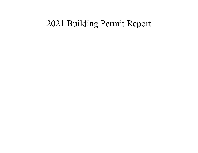# 2021 Building Permit Report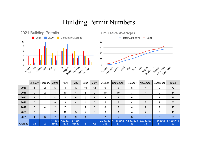#### Building Permit Numbers





|         |                | January February March |                 | April           | May             | June | July | August          | September       | October         | November        | December        | <b>Totals</b>   |
|---------|----------------|------------------------|-----------------|-----------------|-----------------|------|------|-----------------|-----------------|-----------------|-----------------|-----------------|-----------------|
| 2015    |                | 2                      | 5               | 4               | 13              | 10   | 12   | 9               | 9               | 8               | 4               | 0               | 77              |
| 2016    | $\mathbf 0$    | 2                      | 4               | 10              | 4               | 8    | 9    | 10              | 10              | 3               | 4               | 0               | 64              |
| 2017    | $\overline{2}$ | 2                      | 4               | 4               | 6               | 5    |      | 3               | 5               | 6               |                 |                 | 46              |
| 2018    | $\Omega$       |                        | 8               | 9               | 4               | 4    | 5    | 5               | 5               | 4               | 8               | 2               | 55              |
| 2019    | $\mathbf 0$    | 4                      | 2               |                 |                 |      | 6    | 8               | 5               | 4               | 2               | 2               | 48              |
| 2020    | $\Omega$       |                        | $\overline{2}$  | 10              | 3               | ◠    | 6    | 9               | 3               | 4               | 4               | 2               | 46              |
| 2021    | 4              | 3                      | –               | 8               | 9               | 4    | 6    |                 | 5               | 3               | 6               | 3               | 65              |
| Average | 0.5            | $\overline{2}$         | 4.1666<br>66667 | 7.33333<br>3333 | 5.1666<br>66667 | 6    | 7.5  | 7.333333<br>333 | 6.1666666<br>67 | 4.8333333<br>33 | 3.8333333<br>33 | 1.1666666<br>67 | 57.285714<br>29 |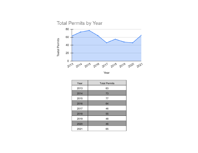



| Year | <b>Total Permits</b> |  |  |
|------|----------------------|--|--|
| 2013 | 63                   |  |  |
| 2014 | 73                   |  |  |
| 2015 | 77                   |  |  |
| 2016 | 64                   |  |  |
| 2017 | 46                   |  |  |
| 2018 | 55                   |  |  |
| 2019 | 48                   |  |  |
| 2020 | 46                   |  |  |
| 2021 | 65                   |  |  |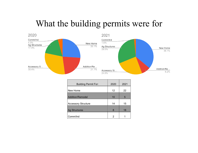# What the building permits were for



| <b>Building Permit For:</b> | 2020 | 2021 |
|-----------------------------|------|------|
| New Home                    | 12   | 22   |
| <b>Addition/Remodel</b>     | 10   | 5    |
| <b>Accessory Structure</b>  | 14   | 15   |
| <b>Ag Structures</b>        | 8    | 18   |
| Comm/Ind                    | 2    |      |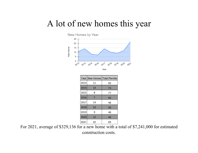### A lot of new homes this year



|      |    | Year New Homes Total Permits |
|------|----|------------------------------|
| 2013 | 11 | 63                           |
| 2014 | 14 | 73                           |
| 2015 | 8  | 77                           |
| 2016 | 7  | 64                           |
| 2017 | 14 | 46                           |
| 2018 | 10 | 55                           |
| 2019 | 9  | 48                           |
| 2020 | 12 | 46                           |
| 2021 | 22 | 65                           |

For 2021, average of \$329,136 for a new home with a total of \$7,241,000 for estimated construction costs.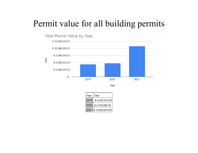## Permit value for all building permits



Year

| Year   Total |                      |
|--------------|----------------------|
|              | 2019 \$4,425,913.00  |
|              | 2020 \$4,742,892.00  |
|              | 2021 \$10,830,675.00 |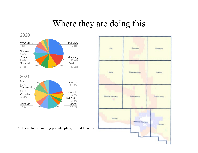## Where they are doing this

2020



\*This includes building permits, plats, 911 address, etc.